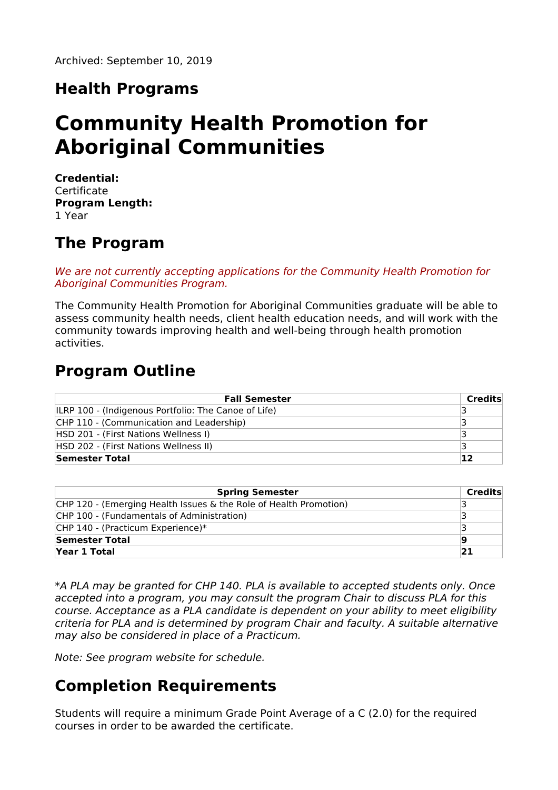# **Health Programs**

# **Community Health Promotion for Aboriginal Communities**

**Credential: Certificate Program Length:** 1 Year

### **The Program**

We are not currently accepting applications for the Community Health Promotion for Aboriginal Communities Program.

The Community Health Promotion for Aboriginal Communities graduate will be able to assess community health needs, client health education needs, and will work with the community towards improving health and well-being through health promotion activities.

### **Program Outline**

| <b>Fall Semester</b>                                 | Credits |
|------------------------------------------------------|---------|
| ILRP 100 - (Indigenous Portfolio: The Canoe of Life) |         |
| CHP 110 - (Communication and Leadership)             |         |
| HSD 201 - (First Nations Wellness I)                 |         |
| HSD 202 - (First Nations Wellness II)                |         |
| Semester Total                                       | 12      |

| <b>Spring Semester</b>                                            | Credits |
|-------------------------------------------------------------------|---------|
| CHP 120 - (Emerging Health Issues & the Role of Health Promotion) |         |
| CHP 100 - (Fundamentals of Administration)                        |         |
| CHP 140 - (Practicum Experience)*                                 |         |
| Semester Total                                                    | 19      |
| Year 1 Total                                                      | 21      |

\*A PLA may be granted for CHP 140. PLA is available to accepted students only. Once accepted into a program, you may consult the program Chair to discuss PLA for this course. Acceptance as a PLA candidate is dependent on your ability to meet eligibility criteria for PLA and is determined by program Chair and faculty. A suitable alternative may also be considered in place of a Practicum.

Note: See program website for schedule.

# **Completion Requirements**

Students will require a minimum Grade Point Average of a C (2.0) for the required courses in order to be awarded the certificate.